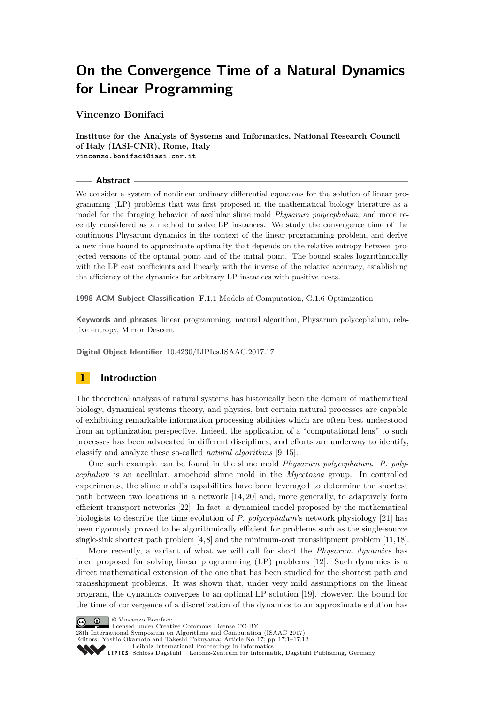# **On the Convergence Time of a Natural Dynamics for Linear Programming**

**Vincenzo Bonifaci**

**Institute for the Analysis of Systems and Informatics, National Research Council of Italy (IASI-CNR), Rome, Italy vincenzo.bonifaci@iasi.cnr.it**

**Abstract**

We consider a system of nonlinear ordinary differential equations for the solution of linear programming (LP) problems that was first proposed in the mathematical biology literature as a model for the foraging behavior of acellular slime mold *Physarum polycephalum*, and more recently considered as a method to solve LP instances. We study the convergence time of the continuous Physarum dynamics in the context of the linear programming problem, and derive a new time bound to approximate optimality that depends on the relative entropy between projected versions of the optimal point and of the initial point. The bound scales logarithmically with the LP cost coefficients and linearly with the inverse of the relative accuracy, establishing the efficiency of the dynamics for arbitrary LP instances with positive costs.

**1998 ACM Subject Classification** F.1.1 Models of Computation, G.1.6 Optimization

**Keywords and phrases** linear programming, natural algorithm, Physarum polycephalum, relative entropy, Mirror Descent

**Digital Object Identifier** [10.4230/LIPIcs.ISAAC.2017.17](http://dx.doi.org/10.4230/LIPIcs.ISAAC.2017.17)

# **1 Introduction**

The theoretical analysis of natural systems has historically been the domain of mathematical biology, dynamical systems theory, and physics, but certain natural processes are capable of exhibiting remarkable information processing abilities which are often best understood from an optimization perspective. Indeed, the application of a "computational lens" to such processes has been advocated in different disciplines, and efforts are underway to identify, classify and analyze these so-called *natural algorithms* [\[9,](#page-11-0) [15\]](#page-11-1).

One such example can be found in the slime mold *Physarum polycephalum*. *P. polycephalum* is an acellular, amoeboid slime mold in the *Mycetozoa* group. In controlled experiments, the slime mold's capabilities have been leveraged to determine the shortest path between two locations in a network [\[14,](#page-11-2) [20\]](#page-11-3) and, more generally, to adaptively form efficient transport networks [\[22\]](#page-11-4). In fact, a dynamical model proposed by the mathematical biologists to describe the time evolution of *P. polycephalum*'s network physiology [\[21\]](#page-11-5) has been rigorously proved to be algorithmically efficient for problems such as the single-source single-sink shortest path problem [\[4,](#page-11-6)8] and the minimum-cost transshipment problem [\[11,](#page-11-8)18].

More recently, a variant of what we will call for short the *Physarum dynamics* has been proposed for solving linear programming (LP) problems [\[12\]](#page-11-10). Such dynamics is a direct mathematical extension of the one that has been studied for the shortest path and transshipment problems. It was shown that, under very mild assumptions on the linear program, the dynamics converges to an optimal LP solution [\[19\]](#page-11-11). However, the bound for the time of convergence of a discretization of the dynamics to an approximate solution has



licensed under Creative Commons License CC-BY

28th International Symposium on Algorithms and Computation (ISAAC 2017).

Editors: Yoshio Okamoto and Takeshi Tokuyama; Article No. 17; pp. 17:1–17[:12](#page-11-12)

[Leibniz International Proceedings in Informatics](http://www.dagstuhl.de/lipics/)

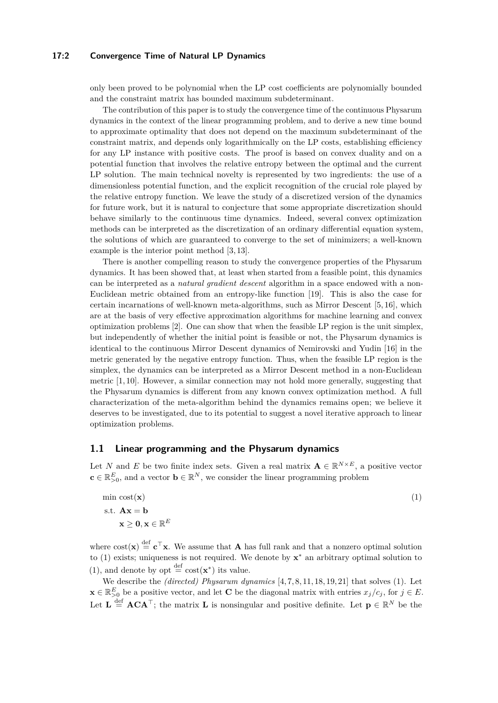#### **17:2 Convergence Time of Natural LP Dynamics**

only been proved to be polynomial when the LP cost coefficients are polynomially bounded and the constraint matrix has bounded maximum subdeterminant.

The contribution of this paper is to study the convergence time of the continuous Physarum dynamics in the context of the linear programming problem, and to derive a new time bound to approximate optimality that does not depend on the maximum subdeterminant of the constraint matrix, and depends only logarithmically on the LP costs, establishing efficiency for any LP instance with positive costs. The proof is based on convex duality and on a potential function that involves the relative entropy between the optimal and the current LP solution. The main technical novelty is represented by two ingredients: the use of a dimensionless potential function, and the explicit recognition of the crucial role played by the relative entropy function. We leave the study of a discretized version of the dynamics for future work, but it is natural to conjecture that some appropriate discretization should behave similarly to the continuous time dynamics. Indeed, several convex optimization methods can be interpreted as the discretization of an ordinary differential equation system, the solutions of which are guaranteed to converge to the set of minimizers; a well-known example is the interior point method [\[3,](#page-11-13) [13\]](#page-11-14).

There is another compelling reason to study the convergence properties of the Physarum dynamics. It has been showed that, at least when started from a feasible point, this dynamics can be interpreted as a *natural gradient descent* algorithm in a space endowed with a non-Euclidean metric obtained from an entropy-like function [\[19\]](#page-11-11). This is also the case for certain incarnations of well-known meta-algorithms, such as Mirror Descent [\[5,](#page-11-15) [16\]](#page-11-16), which are at the basis of very effective approximation algorithms for machine learning and convex optimization problems [\[2\]](#page-10-0). One can show that when the feasible LP region is the unit simplex, but independently of whether the initial point is feasible or not, the Physarum dynamics is identical to the continuous Mirror Descent dynamics of Nemirovski and Yudin [\[16\]](#page-11-16) in the metric generated by the negative entropy function. Thus, when the feasible LP region is the simplex, the dynamics can be interpreted as a Mirror Descent method in a non-Euclidean metric [\[1,](#page-10-1) [10\]](#page-11-17). However, a similar connection may not hold more generally, suggesting that the Physarum dynamics is different from any known convex optimization method. A full characterization of the meta-algorithm behind the dynamics remains open; we believe it deserves to be investigated, due to its potential to suggest a novel iterative approach to linear optimization problems.

## <span id="page-1-1"></span>**1.1 Linear programming and the Physarum dynamics**

Let *N* and *E* be two finite index sets. Given a real matrix  $\mathbf{A} \in \mathbb{R}^{N \times E}$ , a positive vector  $\mathbf{c} \in \mathbb{R}_{>0}^E$ , and a vector  $\mathbf{b} \in \mathbb{R}^N$ , we consider the linear programming problem

<span id="page-1-0"></span>
$$
\begin{aligned}\n\min \, & \, \text{cost}(\mathbf{x}) \\
\text{s.t.} \, \mathbf{A}\mathbf{x} &= \mathbf{b} \\
\mathbf{x} &\geq \mathbf{0}, \mathbf{x} \in \mathbb{R}^E\n\end{aligned} \tag{1}
$$

where  $\text{cost}(\mathbf{x}) \stackrel{\text{def}}{=} \mathbf{c}^\top \mathbf{x}$ . We assume that **A** has full rank and that a nonzero optimal solution to [\(1\)](#page-1-0) exists; uniqueness is not required. We denote by **x** <sup>∗</sup> an arbitrary optimal solution to [\(1\)](#page-1-0), and denote by opt  $\stackrel{\text{def}}{=} \text{cost}(\mathbf{x}^*)$  its value.

We describe the *(directed) Physarum dynamics* [\[4,](#page-11-6) [7,](#page-11-18) [8,](#page-11-7) [11,](#page-11-8) [18,](#page-11-9) [19,](#page-11-11) [21\]](#page-11-5) that solves [\(1\)](#page-1-0). Let  $\mathbf{x} \in \mathbb{R}_{>0}^E$  be a positive vector, and let **C** be the diagonal matrix with entries  $x_j/c_j$ , for  $j \in E$ . Let  $\mathbf{L} \stackrel{\text{def}}{=} \mathbf{ACA}^{\top}$ ; the matrix **L** is nonsingular and positive definite. Let  $\mathbf{p} \in \mathbb{R}^N$  be the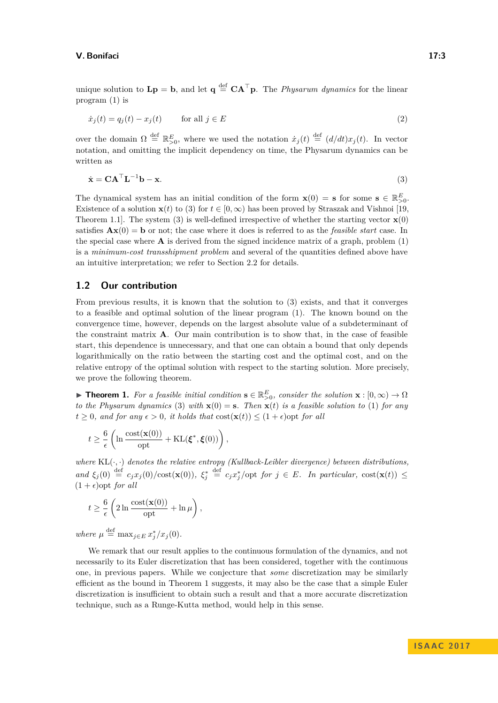unique solution to  $\mathbf{L}\mathbf{p} = \mathbf{b}$ , and let  $\mathbf{q} \stackrel{\text{def}}{=} \mathbf{C}\mathbf{A}^{\top}\mathbf{p}$ . The *Physarum dynamics* for the linear program [\(1\)](#page-1-0) is

<span id="page-2-2"></span>
$$
\dot{x}_j(t) = q_j(t) - x_j(t) \qquad \text{for all } j \in E \tag{2}
$$

over the domain  $\Omega \stackrel{\text{def}}{=} \mathbb{R}_{>0}^E$ , where we used the notation  $\dot{x}_j(t) \stackrel{\text{def}}{=} (d/dt)x_j(t)$ . In vector notation, and omitting the implicit dependency on time, the Physarum dynamics can be written as

<span id="page-2-0"></span>
$$
\dot{\mathbf{x}} = \mathbf{C} \mathbf{A}^\top \mathbf{L}^{-1} \mathbf{b} - \mathbf{x}.\tag{3}
$$

The dynamical system has an initial condition of the form  $\mathbf{x}(0) = \mathbf{s}$  for some  $\mathbf{s} \in \mathbb{R}^E_{>0}$ . Existence of a solution  $\mathbf{x}(t)$  to [\(3\)](#page-2-0) for  $t \in [0, \infty)$  has been proved by Straszak and Vishnoi [\[19,](#page-11-11) Theorem 1.1. The system [\(3\)](#page-2-0) is well-defined irrespective of whether the starting vector  $\mathbf{x}(0)$ satisfies  $\mathbf{A}\mathbf{x}(0) = \mathbf{b}$  or not; the case where it does is referred to as the *feasible start* case. In the special case where **A** is derived from the signed incidence matrix of a graph, problem [\(1\)](#page-1-0) is a *minimum-cost transshipment problem* and several of the quantities defined above have an intuitive interpretation; we refer to Section [2.2](#page-5-0) for details.

## **1.2 Our contribution**

From previous results, it is known that the solution to [\(3\)](#page-2-0) exists, and that it converges to a feasible and optimal solution of the linear program [\(1\)](#page-1-0). The known bound on the convergence time, however, depends on the largest absolute value of a subdeterminant of the constraint matrix **A**. Our main contribution is to show that, in the case of feasible start, this dependence is unnecessary, and that one can obtain a bound that only depends logarithmically on the ratio between the starting cost and the optimal cost, and on the relative entropy of the optimal solution with respect to the starting solution. More precisely, we prove the following theorem.

<span id="page-2-1"></span>**Find 1.** For a feasible initial condition  $\mathbf{s} \in \mathbb{R}^E_{>0}$ , consider the solution  $\mathbf{x}: [0, \infty) \to \Omega$ *to the Physarum dynamics* [\(3\)](#page-2-0) *with*  $\mathbf{x}(0) = \mathbf{s}$ *. Then*  $\mathbf{x}(t)$  *is a feasible solution to* [\(1\)](#page-1-0) *for any*  $t > 0$ *, and for any*  $\epsilon > 0$ *, it holds that*  $\cos(\mathbf{x}(t)) \leq (1 + \epsilon)$  *opt for all* 

$$
t \geq \frac{6}{\epsilon} \left( \ln \frac{\mathrm{cost}(\mathbf{x}(0))}{\mathrm{opt}} + \mathrm{KL}(\boldsymbol{\xi}^*, \boldsymbol{\xi}(0)) \right),
$$

*where*  $KL(\cdot, \cdot)$  *denotes the relative entropy (Kullback-Leibler divergence) between distributions,* and  $\xi_j(0) \stackrel{\text{def}}{=} c_j x_j(0) / \text{cost}(\mathbf{x}(0)), \xi_j^* \stackrel{\text{def}}{=} c_j x_j^* / \text{opt for } j \in E$ . In particular,  $\text{cost}(\mathbf{x}(t)) \leq$  $(1 + \epsilon)$ opt *for all* 

$$
t \geq \frac{6}{\epsilon} \left( 2 \ln \frac{\mathrm{cost}(\mathbf{x}(0))}{\mathrm{opt}} + \ln \mu \right),\,
$$

*where*  $\mu \stackrel{\text{def}}{=} \max_{j \in E} x_j^*/x_j(0)$ *.* 

We remark that our result applies to the continuous formulation of the dynamics, and not necessarily to its Euler discretization that has been considered, together with the continuous one, in previous papers. While we conjecture that *some* discretization may be similarly efficient as the bound in Theorem [1](#page-2-1) suggests, it may also be the case that a simple Euler discretization is insufficient to obtain such a result and that a more accurate discretization technique, such as a Runge-Kutta method, would help in this sense.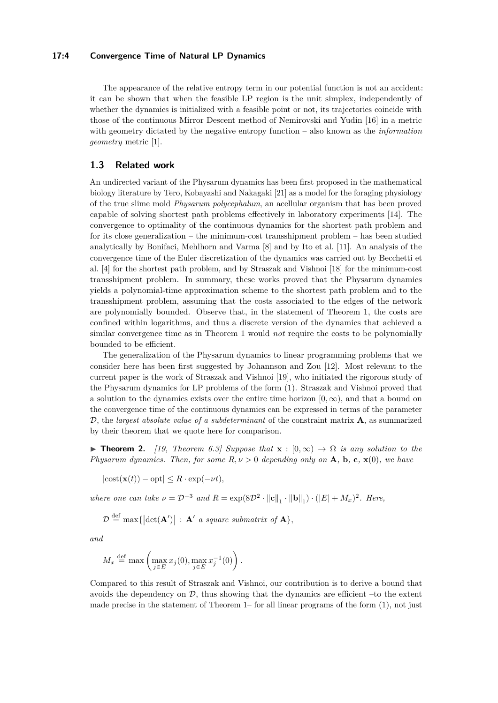## **17:4 Convergence Time of Natural LP Dynamics**

The appearance of the relative entropy term in our potential function is not an accident: it can be shown that when the feasible LP region is the unit simplex, independently of whether the dynamics is initialized with a feasible point or not, its trajectories coincide with those of the continuous Mirror Descent method of Nemirovski and Yudin [\[16\]](#page-11-16) in a metric with geometry dictated by the negative entropy function – also known as the *information geometry* metric [\[1\]](#page-10-1).

### **1.3 Related work**

An undirected variant of the Physarum dynamics has been first proposed in the mathematical biology literature by Tero, Kobayashi and Nakagaki [\[21\]](#page-11-5) as a model for the foraging physiology of the true slime mold *Physarum polycephalum*, an acellular organism that has been proved capable of solving shortest path problems effectively in laboratory experiments [\[14\]](#page-11-2). The convergence to optimality of the continuous dynamics for the shortest path problem and for its close generalization – the minimum-cost transshipment problem – has been studied analytically by Bonifaci, Mehlhorn and Varma [\[8\]](#page-11-7) and by Ito et al. [\[11\]](#page-11-8). An analysis of the convergence time of the Euler discretization of the dynamics was carried out by Becchetti et al. [\[4\]](#page-11-6) for the shortest path problem, and by Straszak and Vishnoi [\[18\]](#page-11-9) for the minimum-cost transshipment problem. In summary, these works proved that the Physarum dynamics yields a polynomial-time approximation scheme to the shortest path problem and to the transshipment problem, assuming that the costs associated to the edges of the network are polynomially bounded. Observe that, in the statement of Theorem [1,](#page-2-1) the costs are confined within logarithms, and thus a discrete version of the dynamics that achieved a similar convergence time as in Theorem [1](#page-2-1) would *not* require the costs to be polynomially bounded to be efficient.

The generalization of the Physarum dynamics to linear programming problems that we consider here has been first suggested by Johannson and Zou [\[12\]](#page-11-10). Most relevant to the current paper is the work of Straszak and Vishnoi [\[19\]](#page-11-11), who initiated the rigorous study of the Physarum dynamics for LP problems of the form [\(1\)](#page-1-0). Straszak and Vishnoi proved that a solution to the dynamics exists over the entire time horizon  $[0, \infty)$ , and that a bound on the convergence time of the continuous dynamics can be expressed in terms of the parameter D, the *largest absolute value of a subdeterminant* of the constraint matrix **A**, as summarized by their theorem that we quote here for comparison.

<span id="page-3-0"></span> $\triangleright$  **Theorem 2.** [\[19,](#page-11-11) Theorem 6.3] Suppose that **x** : [0, ∞) → Ω *is any solution to the Physarum dynamics. Then, for some*  $R, \nu > 0$  *depending only on* **A***,* **b***,* **c***,* **x**(0)*, we have* 

$$
|\text{cost}(\mathbf{x}(t)) - \text{opt}| \le R \cdot \exp(-\nu t),
$$

*where one can take*  $\nu = \mathcal{D}^{-3}$  *and*  $R = \exp(8\mathcal{D}^2 \cdot ||\mathbf{c}||_1 \cdot ||\mathbf{b}||_1) \cdot (|E| + M_x)^2$ . Here,

$$
\mathcal{D} \stackrel{\text{def}}{=} \max\{|\text{det}(\mathbf{A}')| : \mathbf{A}' \text{ a square submatrix of } \mathbf{A}\},\
$$

*and*

$$
M_x \stackrel{\text{def}}{=} \max \left( \max_{j \in E} x_j(0), \max_{j \in E} x_j^{-1}(0) \right).
$$

Compared to this result of Straszak and Vishnoi, our contribution is to derive a bound that avoids the dependency on  $D$ , thus showing that the dynamics are efficient –to the extent made precise in the statement of Theorem [1–](#page-2-1) for all linear programs of the form [\(1\)](#page-1-0), not just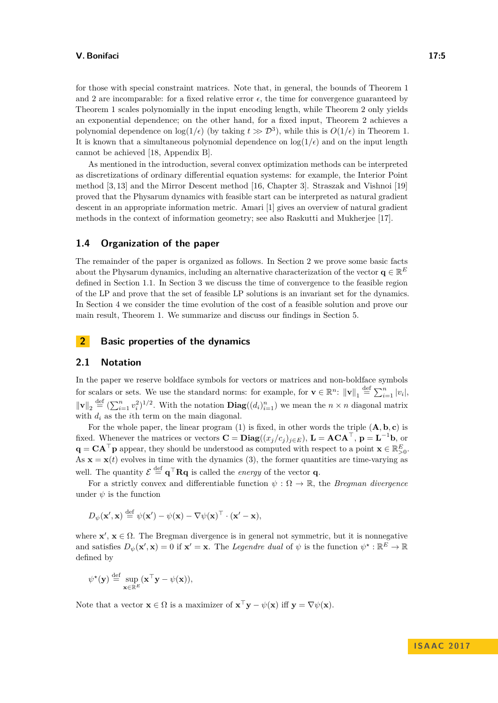#### **V. Bonifaci 17:5**

for those with special constraint matrices. Note that, in general, the bounds of Theorem [1](#page-2-1) and [2](#page-3-0) are incomparable: for a fixed relative error  $\epsilon$ , the time for convergence guaranteed by Theorem [1](#page-2-1) scales polynomially in the input encoding length, while Theorem [2](#page-3-0) only yields an exponential dependence; on the other hand, for a fixed input, Theorem [2](#page-3-0) achieves a polynomial dependence on  $\log(1/\epsilon)$  (by taking  $t \gg \mathcal{D}^3$ ), while this is  $O(1/\epsilon)$  in Theorem [1.](#page-2-1) It is known that a simultaneous polynomial dependence on  $\log(1/\epsilon)$  and on the input length cannot be achieved [\[18,](#page-11-9) Appendix B].

As mentioned in the introduction, several convex optimization methods can be interpreted as discretizations of ordinary differential equation systems: for example, the Interior Point method [\[3,](#page-11-13) [13\]](#page-11-14) and the Mirror Descent method [\[16,](#page-11-16) Chapter 3]. Straszak and Vishnoi [\[19\]](#page-11-11) proved that the Physarum dynamics with feasible start can be interpreted as natural gradient descent in an appropriate information metric. Amari [\[1\]](#page-10-1) gives an overview of natural gradient methods in the context of information geometry; see also Raskutti and Mukherjee [\[17\]](#page-11-19).

## **1.4 Organization of the paper**

The remainder of the paper is organized as follows. In Section [2](#page-4-0) we prove some basic facts about the Physarum dynamics, including an alternative characterization of the vector  $\mathbf{q} \in \mathbb{R}^E$ defined in Section [1.1.](#page-1-1) In Section [3](#page-6-0) we discuss the time of convergence to the feasible region of the LP and prove that the set of feasible LP solutions is an invariant set for the dynamics. In Section [4](#page-6-1) we consider the time evolution of the cost of a feasible solution and prove our main result, Theorem [1.](#page-2-1) We summarize and discuss our findings in Section [5.](#page-10-2)

# <span id="page-4-0"></span>**2 Basic properties of the dynamics**

## **2.1 Notation**

In the paper we reserve boldface symbols for vectors or matrices and non-boldface symbols for scalars or sets. We use the standard norms: for example, for  $\mathbf{v} \in \mathbb{R}^n$ :  $\|\mathbf{v}\|_1 \stackrel{\text{def}}{=} \sum_{i=1}^n |v_i|$ ,  $\|\mathbf{v}\|_2 \stackrel{\text{def}}{=} (\sum_{i=1}^n v_i^2)^{1/2}$ . With the notation  $\mathbf{Diag}((d_i)_{i=1}^n)$  we mean the  $n \times n$  diagonal matrix with *d<sup>i</sup>* as the *i*th term on the main diagonal.

For the whole paper, the linear program  $(1)$  is fixed, in other words the triple  $(A, b, c)$  is fixed. Whenever the matrices or vectors  $\mathbf{C} = \mathbf{Diag}((x_j/c_j)_{j \in E})$ ,  $\mathbf{L} = \mathbf{ACA}^\top$ ,  $\mathbf{p} = \mathbf{L}^{-1}\mathbf{b}$ , or  $\mathbf{q} = \mathbf{CA}^\top \mathbf{p}$  appear, they should be understood as computed with respect to a point  $\mathbf{x} \in \mathbb{R}^E_{>0}$ . As  $\mathbf{x} = \mathbf{x}(t)$  evolves in time with the dynamics [\(3\)](#page-2-0), the former quantities are time-varying as well. The quantity  $\mathcal{E} \stackrel{\text{def}}{=} \mathbf{q}^\top \mathbf{R} \mathbf{q}$  is called the *energy* of the vector **q**.

For a strictly convex and differentiable function  $\psi : \Omega \to \mathbb{R}$ , the *Bregman divergence* under  $\psi$  is the function

$$
D_{\psi}(\mathbf{x}', \mathbf{x}) \stackrel{\text{def}}{=} \psi(\mathbf{x}') - \psi(\mathbf{x}) - \nabla \psi(\mathbf{x})^{\top} \cdot (\mathbf{x}' - \mathbf{x}),
$$

where  $\mathbf{x}'$ ,  $\mathbf{x} \in \Omega$ . The Bregman divergence is in general not symmetric, but it is nonnegative and satisfies  $D_{\psi}(\mathbf{x}', \mathbf{x}) = 0$  if  $\mathbf{x}' = \mathbf{x}$ . The *Legendre dual* of  $\psi$  is the function  $\psi^* : \mathbb{R}^E \to \mathbb{R}$ defined by

$$
\psi^{\star}(\mathbf{y}) \stackrel{\text{def}}{=} \sup_{\mathbf{x} \in \mathbb{R}^E} (\mathbf{x}^{\top}\mathbf{y} - \psi(\mathbf{x})),
$$

Note that a vector  $\mathbf{x} \in \Omega$  is a maximizer of  $\mathbf{x}^\top \mathbf{y} - \psi(\mathbf{x})$  iff  $\mathbf{y} = \nabla \psi(\mathbf{x})$ .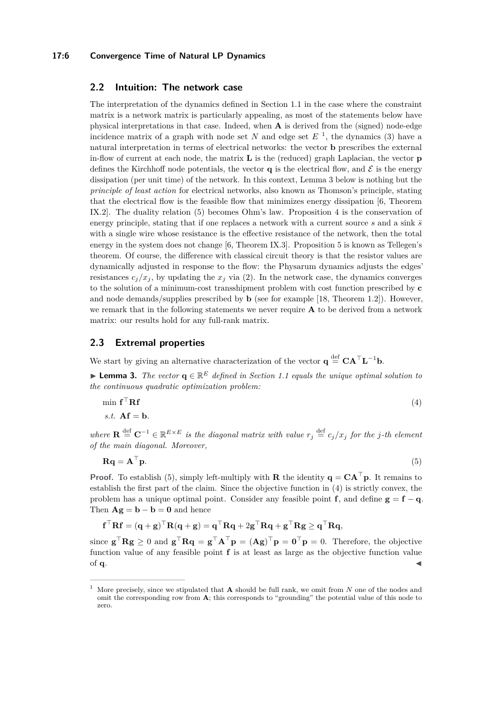#### **17:6 Convergence Time of Natural LP Dynamics**

## <span id="page-5-0"></span>**2.2 Intuition: The network case**

The interpretation of the dynamics defined in Section [1.1](#page-1-1) in the case where the constraint matrix is a network matrix is particularly appealing, as most of the statements below have physical interpretations in that case. Indeed, when **A** is derived from the (signed) node-edge incidence matrix of a graph with node set  $N$  and edge set  $E^{-1}$  $E^{-1}$  $E^{-1}$ , the dynamics [\(3\)](#page-2-0) have a natural interpretation in terms of electrical networks: the vector **b** prescribes the external in-flow of current at each node, the matrix **L** is the (reduced) graph Laplacian, the vector **p** defines the Kirchhoff node potentials, the vector **q** is the electrical flow, and  $\mathcal{E}$  is the energy dissipation (per unit time) of the network. In this context, Lemma [3](#page-5-2) below is nothing but the *principle of least action* for electrical networks, also known as Thomson's principle, stating that the electrical flow is the feasible flow that minimizes energy dissipation [\[6,](#page-11-20) Theorem IX.2]. The duality relation [\(5\)](#page-5-3) becomes Ohm's law. Proposition [4](#page-6-2) is the conservation of energy principle, stating that if one replaces a network with a current source  $s$  and a sink  $\bar{s}$ with a single wire whose resistance is the effective resistance of the network, then the total energy in the system does not change [\[6,](#page-11-20) Theorem IX.3]. Proposition [5](#page-6-3) is known as Tellegen's theorem. Of course, the difference with classical circuit theory is that the resistor values are dynamically adjusted in response to the flow: the Physarum dynamics adjusts the edges' resistances  $c_j/x_j$ , by updating the  $x_j$  via [\(2\)](#page-2-2). In the network case, the dynamics converges to the solution of a minimum-cost transshipment problem with cost function prescribed by **c** and node demands/supplies prescribed by **b** (see for example [\[18,](#page-11-9) Theorem 1.2]). However, we remark that in the following statements we never require **A** to be derived from a network matrix: our results hold for any full-rank matrix.

## **2.3 Extremal properties**

We start by giving an alternative characterization of the vector  $\mathbf{q} \stackrel{\text{def}}{=} \mathbf{CA}^\top \mathbf{L}^{-1} \mathbf{b}$ .

<span id="page-5-2"></span>**Example 12.** The vector  $q \in \mathbb{R}^E$  defined in Section [1.1](#page-1-1) equals the unique optimal solution to *the continuous quadratic optimization problem:*

<span id="page-5-4"></span>
$$
\min \mathbf{f}^\top \mathbf{R} \mathbf{f} \tag{4}
$$

<span id="page-5-3"></span>*s.t.* **Af** = **b***.*

 $\mathbf{R} \stackrel{\text{def}}{=} \mathbf{C}^{-1} \in \mathbb{R}^{E \times E}$  is the diagonal matrix with value  $r_j \stackrel{\text{def}}{=} c_j/x_j$  for the *j*-th element *of the main diagonal. Moreover,*

$$
\mathbf{R}\mathbf{q} = \mathbf{A}^{\top}\mathbf{p}.\tag{5}
$$

**Proof.** To establish [\(5\)](#page-5-3), simply left-multiply with **R** the identity  $\mathbf{q} = \mathbf{CA}^{\top}\mathbf{p}$ . It remains to establish the first part of the claim. Since the objective function in [\(4\)](#page-5-4) is strictly convex, the problem has a unique optimal point. Consider any feasible point **f**, and define  $\mathbf{g} = \mathbf{f} - \mathbf{q}$ . Then  $\mathbf{Ag} = \mathbf{b} - \mathbf{b} = \mathbf{0}$  and hence

$$
\mathbf{f}^\top \mathbf{R} \mathbf{f} = (\mathbf{q} + \mathbf{g})^\top \mathbf{R} (\mathbf{q} + \mathbf{g}) = \mathbf{q}^\top \mathbf{R} \mathbf{q} + 2 \mathbf{g}^\top \mathbf{R} \mathbf{q} + \mathbf{g}^\top \mathbf{R} \mathbf{g} \ge \mathbf{q}^\top \mathbf{R} \mathbf{q},
$$

since  $\mathbf{g}^\top \mathbf{R} \mathbf{g} \geq 0$  and  $\mathbf{g}^\top \mathbf{R} \mathbf{q} = \mathbf{g}^\top \mathbf{A}^\top \mathbf{p} = (\mathbf{A}\mathbf{g})^\top \mathbf{p} = \mathbf{0}^\top \mathbf{p} = 0$ . Therefore, the objective function value of any feasible point **f** is at least as large as the objective function value of  $\mathbf{q}$ .

<span id="page-5-1"></span><sup>1</sup> More precisely, since we stipulated that **A** should be full rank, we omit from *N* one of the nodes and omit the corresponding row from **A**; this corresponds to "grounding" the potential value of this node to zero.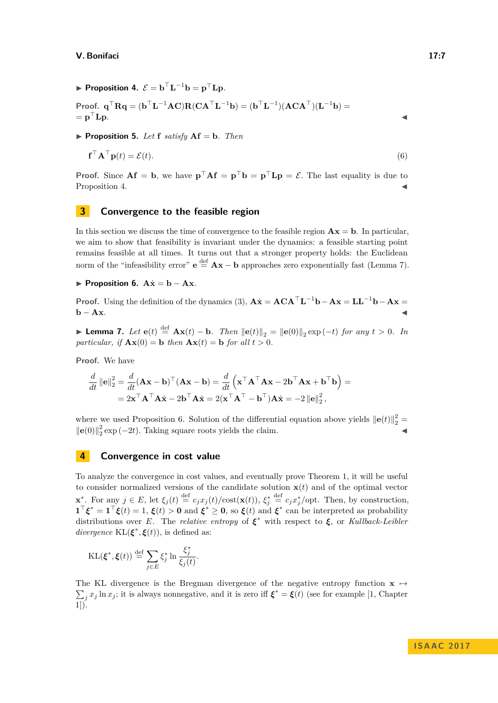<span id="page-6-2"></span>▶ Proposition 4.  $\mathcal{E} = \mathbf{b}^\top \mathbf{L}^{-1} \mathbf{b} = \mathbf{p}^\top \mathbf{L} \mathbf{p}$ .

Proof. 
$$
\mathbf{q}^\top \mathbf{R} \mathbf{q} = (\mathbf{b}^\top \mathbf{L}^{-1} \mathbf{A} \mathbf{C}) \mathbf{R} (\mathbf{C} \mathbf{A}^\top \mathbf{L}^{-1} \mathbf{b}) = (\mathbf{b}^\top \mathbf{L}^{-1}) (\mathbf{A} \mathbf{C} \mathbf{A}^\top) (\mathbf{L}^{-1} \mathbf{b}) =
$$
 $= \mathbf{p}^\top \mathbf{L} \mathbf{p}.$ 

<span id="page-6-3"></span> $\blacktriangleright$  **Proposition 5.** *Let* **f** *satisfy*  $\mathbf{A}$ **f** = **b***. Then* 

<span id="page-6-6"></span>
$$
\mathbf{f}^\top \mathbf{A}^\top \mathbf{p}(t) = \mathcal{E}(t). \tag{6}
$$

**Proof.** Since  $\mathbf{A} \mathbf{f} = \mathbf{b}$ , we have  $\mathbf{p}^\top \mathbf{A} \mathbf{f} = \mathbf{p}^\top \mathbf{b} = \mathbf{p}^\top \mathbf{L} \mathbf{p} = \mathcal{E}$ . The last equality is due to Proposition [4.](#page-6-2)

## <span id="page-6-0"></span>**3 Convergence to the feasible region**

In this section we discuss the time of convergence to the feasible region  $\mathbf{A}\mathbf{x} = \mathbf{b}$ . In particular, we aim to show that feasibility is invariant under the dynamics: a feasible starting point remains feasible at all times. It turns out that a stronger property holds: the Euclidean norm of the "infeasibility error"  $e \stackrel{\text{def}}{=} Ax - b$  approaches zero exponentially fast (Lemma [7\)](#page-6-4).

## <span id="page-6-5"></span> $\triangleright$  **Proposition 6.**  $A\dot{x} = b - Ax$ *.*

**Proof.** Using the definition of the dynamics [\(3\)](#page-2-0),  $\mathbf{A}\dot{\mathbf{x}} = \mathbf{A}\mathbf{C}\mathbf{A}^{\top}\mathbf{L}^{-1}\mathbf{b} - \mathbf{A}\mathbf{x} = \mathbf{L}\mathbf{L}^{-1}\mathbf{b} - \mathbf{A}\mathbf{x} =$ **b** − **A**x*.*  $\triangleleft$ 

<span id="page-6-4"></span>**► Lemma 7.** *Let*  $e(t) \stackrel{\text{def}}{=} Ax(t) - b$ *. Then*  $||e(t)||_2 = ||e(0)||_2 \exp(-t)$  *for any*  $t > 0$ *. In particular, if*  $\mathbf{A}\mathbf{x}(0) = \mathbf{b}$  *then*  $\mathbf{A}\mathbf{x}(t) = \mathbf{b}$  *for all*  $t > 0$ *.* 

**Proof.** We have

$$
\frac{d}{dt} ||\mathbf{e}||_2^2 = \frac{d}{dt} (\mathbf{A}\mathbf{x} - \mathbf{b})^\top (\mathbf{A}\mathbf{x} - \mathbf{b}) = \frac{d}{dt} (\mathbf{x}^\top \mathbf{A}^\top \mathbf{A}\mathbf{x} - 2\mathbf{b}^\top \mathbf{A}\mathbf{x} + \mathbf{b}^\top \mathbf{b}) =
$$
\n
$$
= 2\mathbf{x}^\top \mathbf{A}^\top \mathbf{A}\dot{\mathbf{x}} - 2\mathbf{b}^\top \mathbf{A}\dot{\mathbf{x}} = 2(\mathbf{x}^\top \mathbf{A}^\top - \mathbf{b}^\top) \mathbf{A}\dot{\mathbf{x}} = -2 ||\mathbf{e}||_2^2,
$$

where we used Proposition [6.](#page-6-5) Solution of the differential equation above yields  $\|\mathbf{e}(t)\|_2^2 =$  $\|\mathbf{e}(0)\|_2^2 \exp(-2t)$ . Taking square roots yields the claim.

# <span id="page-6-1"></span>**4 Convergence in cost value**

To analyze the convergence in cost values, and eventually prove Theorem [1,](#page-2-1) it will be useful to consider normalized versions of the candidate solution **x**(*t*) and of the optimal vector  $\mathbf{x}^*$ . For any  $j \in E$ , let  $\xi_j(t) \stackrel{\text{def}}{=} c_j x_j(t) / \text{cost}(\mathbf{x}(t))$ ,  $\xi_j^* \stackrel{\text{def}}{=} c_j x_j^* / \text{opt}$ . Then, by construction,  $\mathbf{1}^\top \boldsymbol{\xi}^* = \mathbf{1}^\top \boldsymbol{\xi}(t) = 1, \, \boldsymbol{\xi}(t) > 0$  and  $\boldsymbol{\xi}^* \geq 0$ , so  $\boldsymbol{\xi}(t)$  and  $\boldsymbol{\xi}^*$  can be interpreted as probability distributions over *E*. The *relative entropy* of  $\xi^*$  with respect to  $\xi$ , or *Kullback-Leibler divergence*  $KL(\xi^*, \xi(t))$ , is defined as:

$$
\mathrm{KL}(\xi^*, \xi(t)) \stackrel{\mathrm{def}}{=} \sum_{j \in E} \xi_j^* \ln \frac{\xi_j^*}{\xi_j(t)}.
$$

The KL divergence is the Bregman divergence of the negative entropy function  $\mathbf{x} \mapsto$  $\sum_j x_j \ln x_j$ ; it is always nonnegative, and it is zero iff  $\boldsymbol{\xi}^* = \boldsymbol{\xi}(t)$  (see for example [\[1,](#page-10-1) Chapter 1]).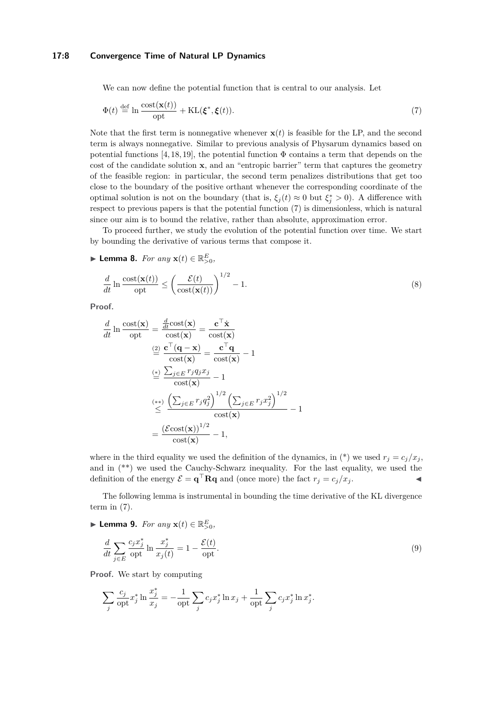#### **17:8 Convergence Time of Natural LP Dynamics**

<span id="page-7-0"></span>We can now define the potential function that is central to our analysis. Let

$$
\Phi(t) \stackrel{\text{def}}{=} \ln \frac{\text{cost}(\mathbf{x}(t))}{\text{opt}} + \text{KL}(\xi^*, \xi(t)).
$$
\n(7)

Note that the first term is nonnegative whenever  $\mathbf{x}(t)$  is feasible for the LP, and the second term is always nonnegative. Similar to previous analysis of Physarum dynamics based on potential functions [\[4,](#page-11-6) [18,](#page-11-9) [19\]](#page-11-11), the potential function  $\Phi$  contains a term that depends on the cost of the candidate solution **x**, and an "entropic barrier" term that captures the geometry of the feasible region: in particular, the second term penalizes distributions that get too close to the boundary of the positive orthant whenever the corresponding coordinate of the optimal solution is not on the boundary (that is,  $\xi_j(t) \approx 0$  but  $\xi_j^* > 0$ ). A difference with respect to previous papers is that the potential function [\(7\)](#page-7-0) is dimensionless, which is natural since our aim is to bound the relative, rather than absolute, approximation error.

To proceed further, we study the evolution of the potential function over time. We start by bounding the derivative of various terms that compose it.

<span id="page-7-4"></span>► **Lemma 8.** *For any*  $\mathbf{x}(t) \in \mathbb{R}_{>0}^E$ ,

<span id="page-7-2"></span>
$$
\frac{d}{dt} \ln \frac{\text{cost}(\mathbf{x}(t))}{\text{opt}} \le \left(\frac{\mathcal{E}(t)}{\text{cost}(\mathbf{x}(t))}\right)^{1/2} - 1.
$$
\n(8)

**Proof.**

$$
\frac{d}{dt} \ln \frac{\text{cost}(\mathbf{x})}{\text{opt}} = \frac{\frac{d}{dt} \text{cost}(\mathbf{x})}{\text{cost}(\mathbf{x})} = \frac{\mathbf{c}^\top \dot{\mathbf{x}}}{\text{cost}(\mathbf{x})}
$$
\n
$$
\stackrel{(2)}{=} \frac{\mathbf{c}^\top (\mathbf{q} - \mathbf{x})}{\text{cost}(\mathbf{x})} = \frac{\mathbf{c}^\top \mathbf{q}}{\text{cost}(\mathbf{x})} - 1
$$
\n
$$
\stackrel{(*)}{=} \frac{\sum_{j \in E} r_j q_j x_j}{\text{cost}(\mathbf{x})} - 1
$$
\n
$$
\stackrel{(**)}{\leq} \frac{\left(\sum_{j \in E} r_j q_j^2\right)^{1/2} \left(\sum_{j \in E} r_j x_j^2\right)^{1/2}}{\text{cost}(\mathbf{x})} - 1
$$
\n
$$
= \frac{(\mathcal{E} \cdot \text{cost}(\mathbf{x}))^{1/2}}{\text{cost}(\mathbf{x})} - 1,
$$

where in the third equality we used the definition of the dynamics, in (\*) we used  $r_j = c_j/x_j$ , and in (\*\*) we used the Cauchy-Schwarz inequality. For the last equality, we used the definition of the energy  $\mathcal{E} = \mathbf{q}^\top \mathbf{R} \mathbf{q}$  and (once more) the fact  $r_j = c_j/x_j$ .

The following lemma is instrumental in bounding the time derivative of the KL divergence term in [\(7\)](#page-7-0).

<span id="page-7-3"></span>
$$
\blacktriangleright \textbf{Lemma 9. For any } \mathbf{x}(t) \in \mathbb{R}_{>0}^E,
$$

<span id="page-7-1"></span>
$$
\frac{d}{dt} \sum_{j \in E} \frac{c_j x_j^*}{\rho p t} \ln \frac{x_j^*}{x_j(t)} = 1 - \frac{\mathcal{E}(t)}{\rho p t}.
$$
\n(9)

**Proof.** We start by computing

$$
\sum_j \frac{c_j}{\mathrm{opt}} x_j^* \ln \frac{x_j^*}{x_j} = -\frac{1}{\mathrm{opt}} \sum_j c_j x_j^* \ln x_j + \frac{1}{\mathrm{opt}} \sum_j c_j x_j^* \ln x_j^*.
$$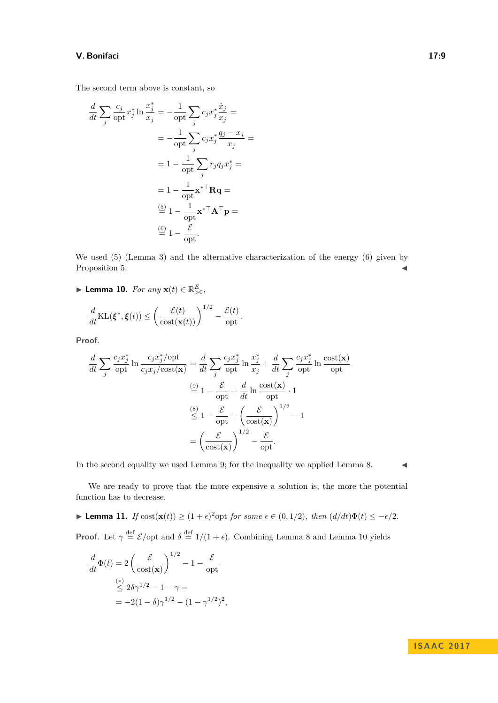## **V. Bonifaci 17:9**

The second term above is constant, so

$$
\frac{d}{dt} \sum_{j} \frac{c_j}{\text{opt}} x_j^* \ln \frac{x_j^*}{x_j} = -\frac{1}{\text{opt}} \sum_{j} c_j x_j^* \frac{\dot{x}_j}{x_j} =
$$
\n
$$
= -\frac{1}{\text{opt}} \sum_{j} c_j x_j^* \frac{q_j - x_j}{x_j} =
$$
\n
$$
= 1 - \frac{1}{\text{opt}} \sum_{j} r_j q_j x_j^* =
$$
\n
$$
= 1 - \frac{1}{\text{opt}} \mathbf{x}^{* \top} \mathbf{R} \mathbf{q} =
$$
\n
$$
\stackrel{(5)}{=} 1 - \frac{1}{\text{opt}} \mathbf{x}^{* \top} \mathbf{A}^{\top} \mathbf{p} =
$$
\n
$$
\stackrel{(6)}{=} 1 - \frac{\mathcal{E}}{\text{opt}}.
$$

We used [\(5\)](#page-5-3) (Lemma [3\)](#page-5-2) and the alternative characterization of the energy [\(6\)](#page-6-6) given by Proposition [5.](#page-6-3)

<span id="page-8-0"></span>► **Lemma 10.** *For any*  $\mathbf{x}(t) \in \mathbb{R}_{>0}^E$ ,

$$
\frac{d}{dt}\mathrm{KL}(\boldsymbol{\xi}^*, \boldsymbol{\xi}(t)) \le \left(\frac{\mathcal{E}(t)}{\mathrm{cost}(\mathbf{x}(t))}\right)^{1/2} - \frac{\mathcal{E}(t)}{\mathrm{opt}}.
$$

**Proof.**

$$
\frac{d}{dt} \sum_{j} \frac{c_j x_j^*}{\rho p t} \ln \frac{c_j x_j^* / \rho p t}{c_j x_j / \text{cost}(\mathbf{x})} = \frac{d}{dt} \sum_{j} \frac{c_j x_j^*}{\rho p t} \ln \frac{x_j^*}{x_j} + \frac{d}{dt} \sum_{j} \frac{c_j x_j^*}{\rho p t} \ln \frac{\text{cost}(\mathbf{x})}{\rho p t}
$$
\n
$$
\stackrel{\text{(9)}}{=} 1 - \frac{\mathcal{E}}{\rho p t} + \frac{d}{dt} \ln \frac{\text{cost}(\mathbf{x})}{\rho p t} \cdot 1
$$
\n
$$
\stackrel{\text{(8)}}{\leq} 1 - \frac{\mathcal{E}}{\rho p t} + \left(\frac{\mathcal{E}}{\text{cost}(\mathbf{x})}\right)^{1/2} - 1
$$
\n
$$
= \left(\frac{\mathcal{E}}{\text{cost}(\mathbf{x})}\right)^{1/2} - \frac{\mathcal{E}}{\rho p t}.
$$

In the second equality we used Lemma [9;](#page-7-3) for the inequality we applied Lemma [8.](#page-7-4)  $\blacksquare$ 

We are ready to prove that the more expensive a solution is, the more the potential function has to decrease.

<span id="page-8-1"></span>**► Lemma 11.** *If*  $\text{cost}(\mathbf{x}(t)) \geq (1+\epsilon)^2 \text{opt for some } \epsilon \in (0,1/2)$ *, then*  $(d/dt)\Phi(t) \leq -\epsilon/2$ *.* **Proof.** Let  $\gamma \stackrel{\text{def}}{=} \mathcal{E}/\text{opt}$  and  $\delta \stackrel{\text{def}}{=} 1/(1+\epsilon)$ . Combining Lemma [8](#page-7-4) and Lemma [10](#page-8-0) yields

$$
\frac{d}{dt}\Phi(t) = 2\left(\frac{\mathcal{E}}{\text{cost}(\mathbf{x})}\right)^{1/2} - 1 - \frac{\mathcal{E}}{\text{opt}}
$$

$$
\stackrel{(*)}{\leq} 2\delta\gamma^{1/2} - 1 - \gamma =
$$

$$
= -2(1 - \delta)\gamma^{1/2} - (1 - \gamma^{1/2})^2,
$$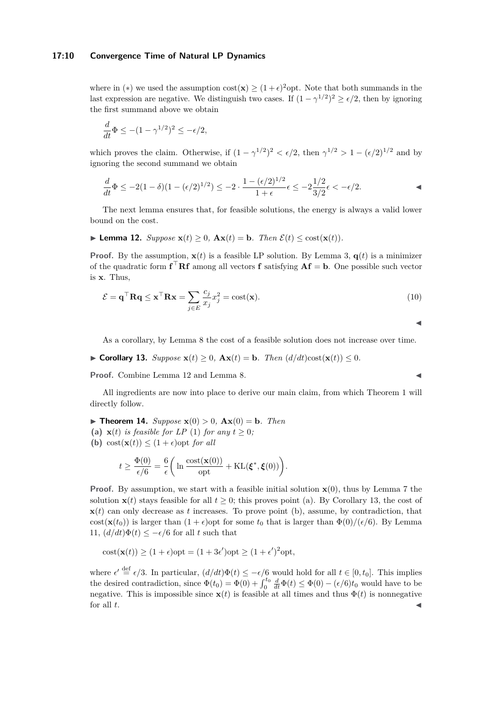#### **17:10 Convergence Time of Natural LP Dynamics**

where in (\*) we used the assumption  $cost(\mathbf{x}) \geq (1+\epsilon)^2 opt$ . Note that both summands in the last expression are negative. We distinguish two cases. If  $(1 - \gamma^{1/2})^2 \ge \epsilon/2$ , then by ignoring the first summand above we obtain

$$
\frac{d}{dt}\Phi\leq -(1-\gamma^{1/2})^2\leq -\epsilon/2,
$$

which proves the claim. Otherwise, if  $(1 - \gamma^{1/2})^2 < \epsilon/2$ , then  $\gamma^{1/2} > 1 - (\epsilon/2)^{1/2}$  and by ignoring the second summand we obtain

$$
\frac{d}{dt}\Phi \le -2(1-\delta)(1-(\epsilon/2)^{1/2}) \le -2 \cdot \frac{1-(\epsilon/2)^{1/2}}{1+\epsilon} \epsilon \le -2\frac{1/2}{3/2}\epsilon < -\epsilon/2.
$$

The next lemma ensures that, for feasible solutions, the energy is always a valid lower bound on the cost.

#### <span id="page-9-0"></span>▶ **Lemma 12.** *Suppose*  $\mathbf{x}(t) \geq 0$ ,  $\mathbf{A}\mathbf{x}(t) = \mathbf{b}$ *. Then*  $\mathcal{E}(t) \leq \text{cost}(\mathbf{x}(t))$ *.*

**Proof.** By the assumption,  $\mathbf{x}(t)$  is a feasible LP solution. By Lemma [3,](#page-5-2)  $\mathbf{q}(t)$  is a minimizer of the quadratic form  $f^{\top}Rf$  among all vectors f satisfying  $Af = b$ . One possible such vector is **x**. Thus,

$$
\mathcal{E} = \mathbf{q}^\top \mathbf{R} \mathbf{q} \le \mathbf{x}^\top \mathbf{R} \mathbf{x} = \sum_{j \in E} \frac{c_j}{x_j} x_j^2 = \text{cost}(\mathbf{x}).\tag{10}
$$

As a corollary, by Lemma [8](#page-7-4) the cost of a feasible solution does not increase over time.

<span id="page-9-1"></span>▶ **Corollary 13.** *Suppose*  $\mathbf{x}(t) \geq 0$ ,  $\mathbf{A}\mathbf{x}(t) = \mathbf{b}$ *. Then*  $(d/dt)\text{cost}(\mathbf{x}(t)) \leq 0$ *.* 

Proof. Combine Lemma [12](#page-9-0) and Lemma [8.](#page-7-4)

All ingredients are now into place to derive our main claim, from which Theorem [1](#page-2-1) will directly follow.

<span id="page-9-2"></span> $\triangleright$  **Theorem 14.** *Suppose*  $\mathbf{x}(0) > 0$ ,  $\mathbf{A}\mathbf{x}(0) = \mathbf{b}$ *. Then* (a)  $\mathbf{x}(t)$  *is feasible for LP* [\(1\)](#page-1-0) *for any*  $t \geq 0$ *;* **(b)** cost $(\mathbf{x}(t)) \leq (1 + \epsilon)$ opt *for all* 

$$
t \geq \frac{\Phi(0)}{\epsilon/6} = \frac{6}{\epsilon} \bigg( \ln \frac{\mathrm{cost}(\mathbf{x}(0))}{\mathrm{opt}} + \mathrm{KL}(\xi^*, \xi(0)) \bigg).
$$

**Proof.** By assumption, we start with a feasible initial solution  $\mathbf{x}(0)$ , thus by Lemma [7](#page-6-4) the solution  $\mathbf{x}(t)$  stays feasible for all  $t \geq 0$ ; this proves point (a). By Corollary [13,](#page-9-1) the cost of  $\mathbf{x}(t)$  can only decrease as *t* increases. To prove point (b), assume, by contradiction, that cost( $\mathbf{x}(t_0)$ ) is larger than  $(1 + \epsilon)$ opt for some  $t_0$  that is larger than  $\Phi(0)/(\epsilon/6)$ . By Lemma [11,](#page-8-1)  $(d/dt)\Phi(t) \leq -\epsilon/6$  for all *t* such that

$$
cost(\mathbf{x}(t)) \ge (1 + \epsilon)opt = (1 + 3\epsilon')opt \ge (1 + \epsilon')^2 opt,
$$

where  $\epsilon' \stackrel{\text{def}}{=} \epsilon/3$ . In particular,  $(d/dt)\Phi(t) \le -\epsilon/6$  would hold for all  $t \in [0, t_0]$ . This implies the desired contradiction, since  $\Phi(t_0) = \Phi(0) + \int_0^{t_0} \frac{d}{dt} \Phi(t) \leq \Phi(0) - (\epsilon/6)t_0$  would have to be negative. This is impossible since  $\mathbf{x}(t)$  is feasible at all times and thus  $\Phi(t)$  is nonnegative for all  $t$ .

 $\blacktriangleleft$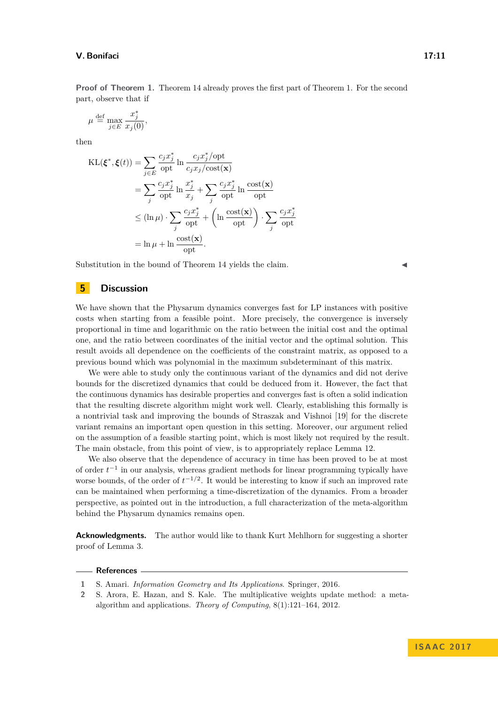#### **V. Bonifaci 17:11**

**Proof of Theorem [1.](#page-2-1)** Theorem [14](#page-9-2) already proves the first part of Theorem [1.](#page-2-1) For the second part, observe that if

$$
\mu \stackrel{\text{def}}{=} \max_{j \in E} \frac{x_j^*}{x_j(0)},
$$

then

$$
\begin{split} \text{KL}(\boldsymbol{\xi}^*, \boldsymbol{\xi}(t)) &= \sum_{j \in E} \frac{c_j x_j^*}{\text{opt}} \ln \frac{c_j x_j^* / \text{opt}}{c_j x_j / \text{cost}(\mathbf{x})} \\ &= \sum_j \frac{c_j x_j^*}{\text{opt}} \ln \frac{x_j^*}{x_j} + \sum_j \frac{c_j x_j^*}{\text{opt}} \ln \frac{\text{cost}(\mathbf{x})}{\text{opt}} \\ &\leq (\ln \mu) \cdot \sum_j \frac{c_j x_j^*}{\text{opt}} + \left(\ln \frac{\text{cost}(\mathbf{x})}{\text{opt}}\right) \cdot \sum_j \frac{c_j x_j^*}{\text{opt}} \\ &= \ln \mu + \ln \frac{\text{cost}(\mathbf{x})}{\text{opt}}. \end{split}
$$

Substitution in the bound of Theorem [14](#page-9-2) yields the claim.

<span id="page-10-2"></span>**5 Discussion**

We have shown that the Physarum dynamics converges fast for LP instances with positive costs when starting from a feasible point. More precisely, the convergence is inversely proportional in time and logarithmic on the ratio between the initial cost and the optimal one, and the ratio between coordinates of the initial vector and the optimal solution. This result avoids all dependence on the coefficients of the constraint matrix, as opposed to a previous bound which was polynomial in the maximum subdeterminant of this matrix.

We were able to study only the continuous variant of the dynamics and did not derive bounds for the discretized dynamics that could be deduced from it. However, the fact that the continuous dynamics has desirable properties and converges fast is often a solid indication that the resulting discrete algorithm might work well. Clearly, establishing this formally is a nontrivial task and improving the bounds of Straszak and Vishnoi [\[19\]](#page-11-11) for the discrete variant remains an important open question in this setting. Moreover, our argument relied on the assumption of a feasible starting point, which is most likely not required by the result. The main obstacle, from this point of view, is to appropriately replace Lemma [12.](#page-9-0)

We also observe that the dependence of accuracy in time has been proved to be at most of order  $t^{-1}$  in our analysis, whereas gradient methods for linear programming typically have worse bounds, of the order of  $t^{-1/2}$ . It would be interesting to know if such an improved rate can be maintained when performing a time-discretization of the dynamics. From a broader perspective, as pointed out in the introduction, a full characterization of the meta-algorithm behind the Physarum dynamics remains open.

**Acknowledgments.** The author would like to thank Kurt Mehlhorn for suggesting a shorter proof of Lemma [3.](#page-5-2)

**References**

<span id="page-10-1"></span>**<sup>1</sup>** S. Amari. *Information Geometry and Its Applications*. Springer, 2016.

<span id="page-10-0"></span>**<sup>2</sup>** S. Arora, E. Hazan, and S. Kale. The multiplicative weights update method: a metaalgorithm and applications. *Theory of Computing*, 8(1):121–164, 2012.